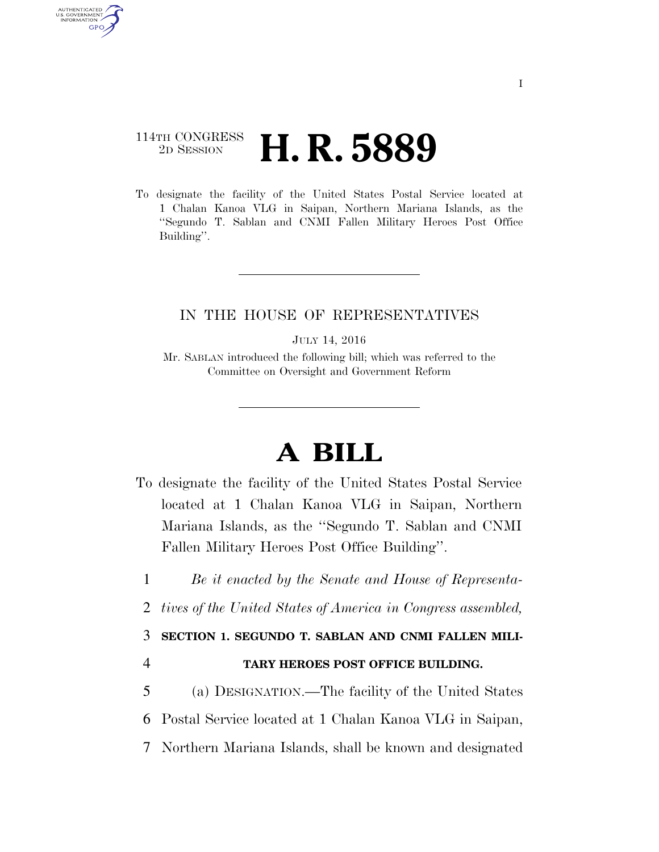## 114TH CONGRESS <sup>2D SESSION</sup> **H. R. 5889**

AUTHENTICATED U.S. GOVERNMENT **GPO** 

> To designate the facility of the United States Postal Service located at 1 Chalan Kanoa VLG in Saipan, Northern Mariana Islands, as the ''Segundo T. Sablan and CNMI Fallen Military Heroes Post Office Building''.

## IN THE HOUSE OF REPRESENTATIVES

JULY 14, 2016

Mr. SABLAN introduced the following bill; which was referred to the Committee on Oversight and Government Reform

## **A BILL**

- To designate the facility of the United States Postal Service located at 1 Chalan Kanoa VLG in Saipan, Northern Mariana Islands, as the ''Segundo T. Sablan and CNMI Fallen Military Heroes Post Office Building''.
	- 1 *Be it enacted by the Senate and House of Representa-*
	- 2 *tives of the United States of America in Congress assembled,*

## 3 **SECTION 1. SEGUNDO T. SABLAN AND CNMI FALLEN MILI-**

- 4 **TARY HEROES POST OFFICE BUILDING.**
- 5 (a) DESIGNATION.—The facility of the United States 6 Postal Service located at 1 Chalan Kanoa VLG in Saipan, 7 Northern Mariana Islands, shall be known and designated